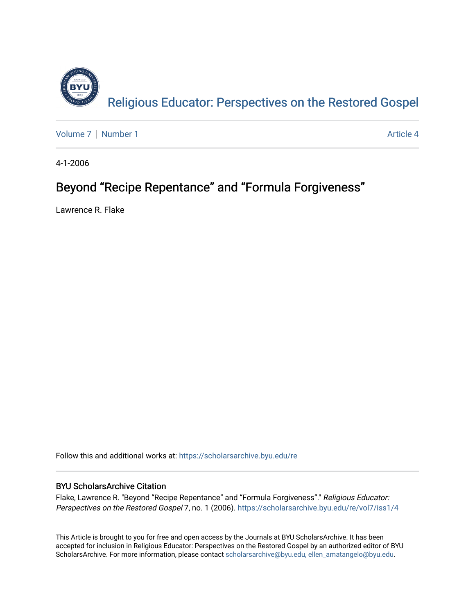

[Volume 7](https://scholarsarchive.byu.edu/re/vol7) | [Number 1](https://scholarsarchive.byu.edu/re/vol7/iss1) Article 4

4-1-2006

# Beyond "Recipe Repentance" and "Formula Forgiveness"

Lawrence R. Flake

Follow this and additional works at: [https://scholarsarchive.byu.edu/re](https://scholarsarchive.byu.edu/re?utm_source=scholarsarchive.byu.edu%2Fre%2Fvol7%2Fiss1%2F4&utm_medium=PDF&utm_campaign=PDFCoverPages)

## BYU ScholarsArchive Citation

Flake, Lawrence R. "Beyond "Recipe Repentance" and "Formula Forgiveness"." Religious Educator: Perspectives on the Restored Gospel 7, no. 1 (2006). https://scholarsarchive.byu.edu/re/vol7/iss1/4

This Article is brought to you for free and open access by the Journals at BYU ScholarsArchive. It has been accepted for inclusion in Religious Educator: Perspectives on the Restored Gospel by an authorized editor of BYU ScholarsArchive. For more information, please contact [scholarsarchive@byu.edu, ellen\\_amatangelo@byu.edu.](mailto:scholarsarchive@byu.edu,%20ellen_amatangelo@byu.edu)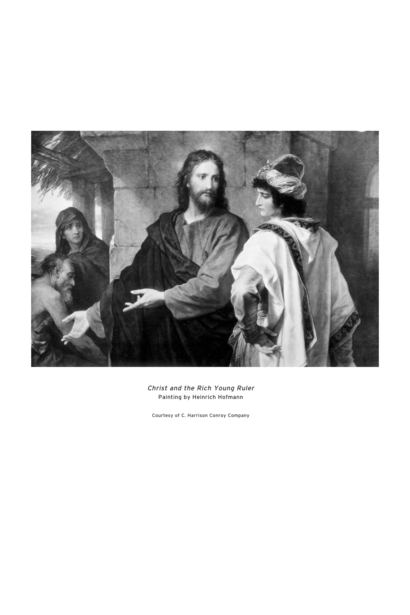

Christ and the Rich Young Ruler Painting by Heinrich Hofmann

Courtesy of C. Harrison Conroy Company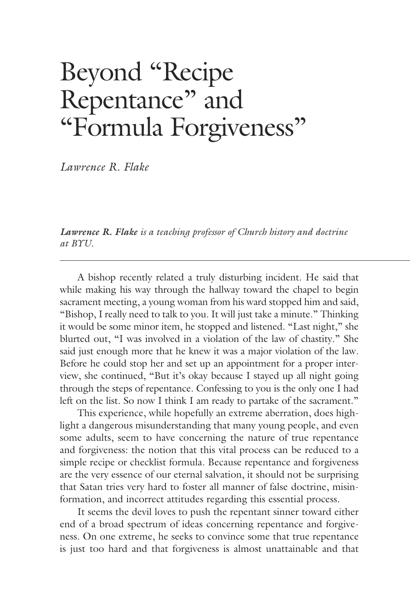# Beyond "Recipe Repentance" and "Formula Forgiveness"

*Lawrence R. Flake*

*Lawrence R. Flake is a teaching professor of Church history and doctrine at BYU.*

 A bishop recently related a truly disturbing incident. He said that while making his way through the hallway toward the chapel to begin sacrament meeting, a young woman from his ward stopped him and said, "Bishop, I really need to talk to you. It will just take a minute." Thinking it would be some minor item, he stopped and listened. "Last night," she blurted out, "I was involved in a violation of the law of chastity." She said just enough more that he knew it was a major violation of the law. Before he could stop her and set up an appointment for a proper interview, she continued, "But it's okay because I stayed up all night going through the steps of repentance. Confessing to you is the only one I had left on the list. So now I think I am ready to partake of the sacrament."

 This experience, while hopefully an extreme aberration, does highlight a dangerous misunderstanding that many young people, and even some adults, seem to have concerning the nature of true repentance and forgiveness: the notion that this vital process can be reduced to a simple recipe or checklist formula. Because repentance and forgiveness are the very essence of our eternal salvation, it should not be surprising that Satan tries very hard to foster all manner of false doctrine, misinformation, and incorrect attitudes regarding this essential process.

 It seems the devil loves to push the repentant sinner toward either end of a broad spectrum of ideas concerning repentance and forgiveness. On one extreme, he seeks to convince some that true repentance is just too hard and that forgiveness is almost unattainable and that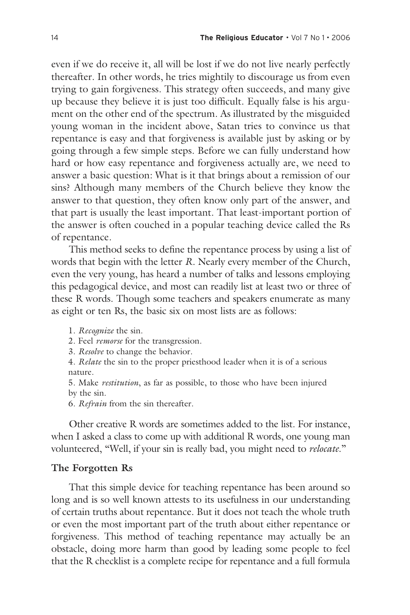even if we do receive it, all will be lost if we do not live nearly perfectly thereafter. In other words, he tries mightily to discourage us from even trying to gain forgiveness. This strategy often succeeds, and many give up because they believe it is just too difficult. Equally false is his argument on the other end of the spectrum. As illustrated by the misguided young woman in the incident above, Satan tries to convince us that repentance is easy and that forgiveness is available just by asking or by going through a few simple steps. Before we can fully understand how hard or how easy repentance and forgiveness actually are, we need to answer a basic question: What is it that brings about a remission of our sins? Although many members of the Church believe they know the answer to that question, they often know only part of the answer, and that part is usually the least important. That least-important portion of the answer is often couched in a popular teaching device called the Rs of repentance.

 This method seeks to define the repentance process by using a list of words that begin with the letter *R*. Nearly every member of the Church, even the very young, has heard a number of talks and lessons employing this pedagogical device, and most can readily list at least two or three of these R words. Though some teachers and speakers enumerate as many as eight or ten Rs, the basic six on most lists are as follows:

1. *Recognize* the sin.

2. Feel *remorse* for the transgression.

3. *Resolve* to change the behavior.

4. *Relate* the sin to the proper priesthood leader when it is of a serious nature.

5. Make *restitution*, as far as possible, to those who have been injured by the sin.

6. *Refrain* from the sin thereafter.

 Other creative R words are sometimes added to the list. For instance, when I asked a class to come up with additional R words, one young man volunteered, "Well, if your sin is really bad, you might need to *relocate*."

### **The Forgotten Rs**

 That this simple device for teaching repentance has been around so long and is so well known attests to its usefulness in our understanding of certain truths about repentance. But it does not teach the whole truth or even the most important part of the truth about either repentance or forgiveness. This method of teaching repentance may actually be an obstacle, doing more harm than good by leading some people to feel that the R checklist is a complete recipe for repentance and a full formula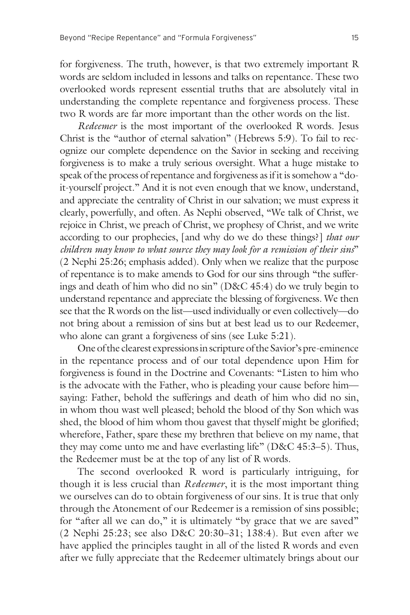for forgiveness. The truth, however, is that two extremely important R words are seldom included in lessons and talks on repentance. These two overlooked words represent essential truths that are absolutely vital in understanding the complete repentance and forgiveness process. These two R words are far more important than the other words on the list.

 *Redeemer* is the most important of the overlooked R words. Jesus Christ is the "author of eternal salvation" (Hebrews 5:9). To fail to recognize our complete dependence on the Savior in seeking and receiving forgiveness is to make a truly serious oversight. What a huge mistake to speak of the process of repentance and forgiveness as if it is somehow a "doit-yourself project." And it is not even enough that we know, understand, and appreciate the centrality of Christ in our salvation; we must express it clearly, powerfully, and often. As Nephi observed, "We talk of Christ, we rejoice in Christ, we preach of Christ, we prophesy of Christ, and we write according to our prophecies, [and why do we do these things?] *that our children may know to what source they may look for a remission of their sins*" (2 Nephi 25:26; emphasis added). Only when we realize that the purpose of repentance is to make amends to God for our sins through "the sufferings and death of him who did no sin" (D&C 45:4) do we truly begin to understand repentance and appreciate the blessing of forgiveness. We then see that the R words on the list—used individually or even collectively—do not bring about a remission of sins but at best lead us to our Redeemer, who alone can grant a forgiveness of sins (see Luke 5:21).

 One of the clearest expressions in scripture of the Savior's pre-eminence in the repentance process and of our total dependence upon Him for forgiveness is found in the Doctrine and Covenants: "Listen to him who is the advocate with the Father, who is pleading your cause before him saying: Father, behold the sufferings and death of him who did no sin, in whom thou wast well pleased; behold the blood of thy Son which was shed, the blood of him whom thou gavest that thyself might be glorified; wherefore, Father, spare these my brethren that believe on my name, that they may come unto me and have everlasting life" (D&C 45:3–5). Thus, the Redeemer must be at the top of any list of R words.

 The second overlooked R word is particularly intriguing, for though it is less crucial than *Redeemer*, it is the most important thing we ourselves can do to obtain forgiveness of our sins. It is true that only through the Atonement of our Redeemer is a remission of sins possible; for "after all we can do," it is ultimately "by grace that we are saved" (2 Nephi 25:23; see also D&C 20:30–31; 138:4). But even after we have applied the principles taught in all of the listed R words and even after we fully appreciate that the Redeemer ultimately brings about our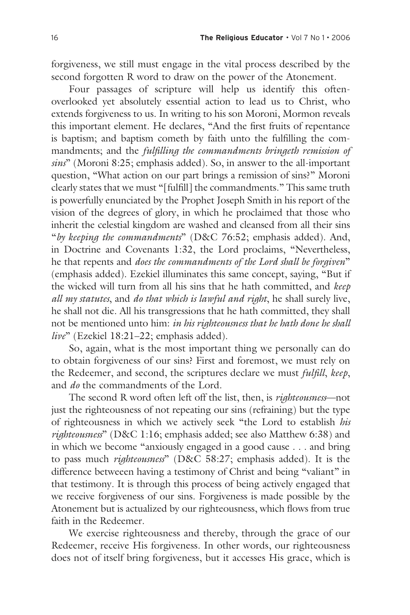forgiveness, we still must engage in the vital process described by the second forgotten R word to draw on the power of the Atonement.

 Four passages of scripture will help us identify this oftenoverlooked yet absolutely essential action to lead us to Christ, who extends forgiveness to us. In writing to his son Moroni, Mormon reveals this important element. He declares, "And the first fruits of repentance is baptism; and baptism cometh by faith unto the fulfilling the commandments; and the *fulfilling the commandments bringeth remission of sins*" (Moroni 8:25; emphasis added). So, in answer to the all-important question, "What action on our part brings a remission of sins?" Moroni clearly states that we must "[fulfill] the commandments." This same truth is powerfully enunciated by the Prophet Joseph Smith in his report of the vision of the degrees of glory, in which he proclaimed that those who inherit the celestial kingdom are washed and cleansed from all their sins "*by keeping the commandments*" (D&C 76:52; emphasis added). And, in Doctrine and Covenants 1:32, the Lord proclaims, "Nevertheless, he that repents and *does the commandments of the Lord shall be forgiven*" (emphasis added). Ezekiel illuminates this same concept, saying, "But if the wicked will turn from all his sins that he hath committed, and *keep all my statutes*, and *do that which is lawful and right*, he shall surely live, he shall not die. All his transgressions that he hath committed, they shall not be mentioned unto him: *in his righteousness that he hath done he shall live*" (Ezekiel 18:21–22; emphasis added).

 So, again, what is the most important thing we personally can do to obtain forgiveness of our sins? First and foremost, we must rely on the Redeemer, and second, the scriptures declare we must *fulfill*, *keep*, and *do* the commandments of the Lord.

 The second R word often left off the list, then, is *righteousness*—not just the righteousness of not repeating our sins (refraining) but the type of righteousness in which we actively seek "the Lord to establish *his righteousness*" (D&C 1:16; emphasis added; see also Matthew 6:38) and in which we become "anxiously engaged in a good cause . . . and bring to pass much *righteousness*" (D&C 58:27; emphasis added). It is the difference betweeen having a testimony of Christ and being "valiant" in that testimony. It is through this process of being actively engaged that we receive forgiveness of our sins. Forgiveness is made possible by the Atonement but is actualized by our righteousness, which flows from true faith in the Redeemer.

 We exercise righteousness and thereby, through the grace of our Redeemer, receive His forgiveness. In other words, our righteousness does not of itself bring forgiveness, but it accesses His grace, which is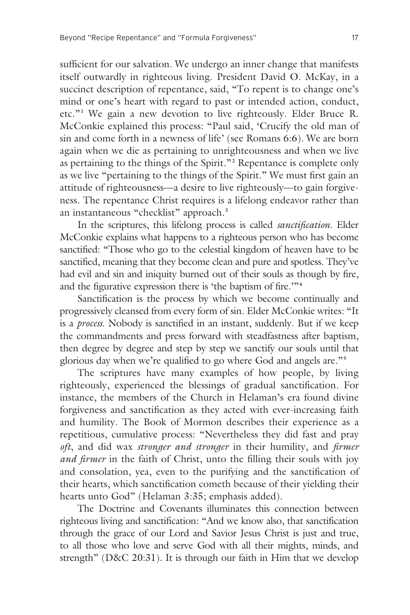sufficient for our salvation. We undergo an inner change that manifests itself outwardly in righteous living. President David O. McKay, in a succinct description of repentance, said, "To repent is to change one's mind or one's heart with regard to past or intended action, conduct, etc."**<sup>1</sup>** We gain a new devotion to live righteously. Elder Bruce R. McConkie explained this process: "Paul said, 'Crucify the old man of sin and come forth in a newness of life' (see Romans 6:6). We are born again when we die as pertaining to unrighteousness and when we live as pertaining to the things of the Spirit."**<sup>2</sup>** Repentance is complete only as we live "pertaining to the things of the Spirit." We must first gain an attitude of righteousness—a desire to live righteously—to gain forgiveness. The repentance Christ requires is a lifelong endeavor rather than an instantaneous "checklist" approach. **3**

 In the scriptures, this lifelong process is called *sanctification*. Elder McConkie explains what happens to a righteous person who has become sanctified: "Those who go to the celestial kingdom of heaven have to be sanctified, meaning that they become clean and pure and spotless. They've had evil and sin and iniquity burned out of their souls as though by fire, and the figurative expression there is 'the baptism of fire.'"**<sup>4</sup>**

 Sanctification is the process by which we become continually and progressively cleansed from every form of sin. Elder McConkie writes: "It is a *process*. Nobody is sanctified in an instant, suddenly. But if we keep the commandments and press forward with steadfastness after baptism, then degree by degree and step by step we sanctify our souls until that glorious day when we're qualified to go where God and angels are."**<sup>5</sup>**

 The scriptures have many examples of how people, by living righteously, experienced the blessings of gradual sanctification. For instance, the members of the Church in Helaman's era found divine forgiveness and sanctification as they acted with ever-increasing faith and humility. The Book of Mormon describes their experience as a repetitious, cumulative process: "Nevertheless they did fast and pray *oft*, and did wax *stronger and stronger* in their humility, and *firmer and firmer* in the faith of Christ, unto the filling their souls with joy and consolation, yea, even to the purifying and the sanctification of their hearts, which sanctification cometh because of their yielding their hearts unto God" (Helaman 3:35; emphasis added).

 The Doctrine and Covenants illuminates this connection between righteous living and sanctification: "And we know also, that sanctification through the grace of our Lord and Savior Jesus Christ is just and true, to all those who love and serve God with all their mights, minds, and strength" (D&C 20:31). It is through our faith in Him that we develop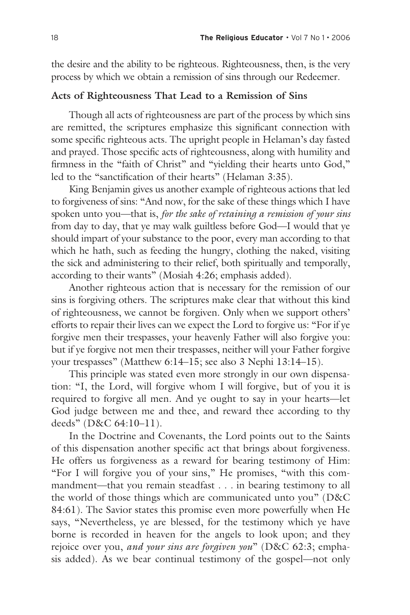the desire and the ability to be righteous. Righteousness, then, is the very process by which we obtain a remission of sins through our Redeemer.

#### **Acts of Righteousness That Lead to a Remission of Sins**

 Though all acts of righteousness are part of the process by which sins are remitted, the scriptures emphasize this significant connection with some specific righteous acts. The upright people in Helaman's day fasted and prayed. Those specific acts of righteousness, along with humility and firmness in the "faith of Christ" and "yielding their hearts unto God," led to the "sanctification of their hearts" (Helaman 3:35).

 King Benjamin gives us another example of righteous actions that led to forgiveness of sins: "And now, for the sake of these things which I have spoken unto you—that is, *for the sake of retaining a remission of your sins* from day to day, that ye may walk guiltless before God—I would that ye should impart of your substance to the poor, every man according to that which he hath, such as feeding the hungry, clothing the naked, visiting the sick and administering to their relief, both spiritually and temporally, according to their wants" (Mosiah 4:26; emphasis added).

 Another righteous action that is necessary for the remission of our sins is forgiving others. The scriptures make clear that without this kind of righteousness, we cannot be forgiven. Only when we support others' efforts to repair their lives can we expect the Lord to forgive us: "For if ye forgive men their trespasses, your heavenly Father will also forgive you: but if ye forgive not men their trespasses, neither will your Father forgive your trespasses" (Matthew 6:14–15; see also 3 Nephi 13:14–15).

 This principle was stated even more strongly in our own dispensation: "I, the Lord, will forgive whom I will forgive, but of you it is required to forgive all men. And ye ought to say in your hearts—let God judge between me and thee, and reward thee according to thy deeds" (D&C 64:10–11).

 In the Doctrine and Covenants, the Lord points out to the Saints of this dispensation another specific act that brings about forgiveness. He offers us forgiveness as a reward for bearing testimony of Him: "For I will forgive you of your sins," He promises, "with this commandment—that you remain steadfast . . . in bearing testimony to all the world of those things which are communicated unto you" (D&C 84:61). The Savior states this promise even more powerfully when He says, "Nevertheless, ye are blessed, for the testimony which ye have borne is recorded in heaven for the angels to look upon; and they rejoice over you, *and your sins are forgiven you*" (D&C 62:3; emphasis added). As we bear continual testimony of the gospel—not only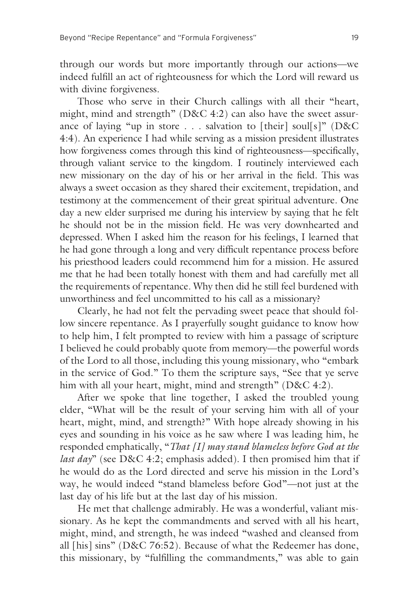through our words but more importantly through our actions—we indeed fulfill an act of righteousness for which the Lord will reward us with divine forgiveness.

 Those who serve in their Church callings with all their "heart, might, mind and strength" (D&C 4:2) can also have the sweet assurance of laying "up in store . . . salvation to [their] soul[s]" (D&C 4:4). An experience I had while serving as a mission president illustrates how forgiveness comes through this kind of righteousness—specifically, through valiant service to the kingdom. I routinely interviewed each new missionary on the day of his or her arrival in the field. This was always a sweet occasion as they shared their excitement, trepidation, and testimony at the commencement of their great spiritual adventure. One day a new elder surprised me during his interview by saying that he felt he should not be in the mission field. He was very downhearted and depressed. When I asked him the reason for his feelings, I learned that he had gone through a long and very difficult repentance process before his priesthood leaders could recommend him for a mission. He assured me that he had been totally honest with them and had carefully met all the requirements of repentance. Why then did he still feel burdened with unworthiness and feel uncommitted to his call as a missionary?

 Clearly, he had not felt the pervading sweet peace that should follow sincere repentance. As I prayerfully sought guidance to know how to help him, I felt prompted to review with him a passage of scripture I believed he could probably quote from memory—the powerful words of the Lord to all those, including this young missionary, who "embark in the service of God." To them the scripture says, "See that ye serve him with all your heart, might, mind and strength" (D&C 4:2).

 After we spoke that line together, I asked the troubled young elder, "What will be the result of your serving him with all of your heart, might, mind, and strength?" With hope already showing in his eyes and sounding in his voice as he saw where I was leading him, he responded emphatically, "*That [I] may stand blameless before God at the last day*" (see D&C 4:2; emphasis added). I then promised him that if he would do as the Lord directed and serve his mission in the Lord's way, he would indeed "stand blameless before God"—not just at the last day of his life but at the last day of his mission.

 He met that challenge admirably. He was a wonderful, valiant missionary. As he kept the commandments and served with all his heart, might, mind, and strength, he was indeed "washed and cleansed from all [his] sins" (D&C 76:52). Because of what the Redeemer has done, this missionary, by "fulfilling the commandments," was able to gain